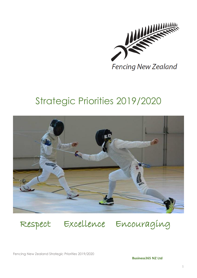

# Strategic Priorities 2019/2020



Respect Excellence Encouraging

Fencing New Zealand Strategic Priorities 2019/2020

**Business365 NZ Ltd**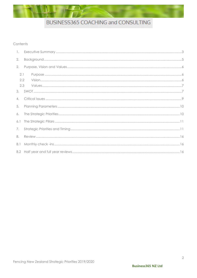### Contents

| 1.  |     |  |  |
|-----|-----|--|--|
| 2.  |     |  |  |
| 2.  |     |  |  |
| 2.1 | 2.2 |  |  |
|     | 2.3 |  |  |
|     |     |  |  |
| 4.  |     |  |  |
| 5.  |     |  |  |
| 6.  |     |  |  |
| 6.1 |     |  |  |
| 7.  |     |  |  |
| 8.  |     |  |  |
| 8.1 |     |  |  |
|     |     |  |  |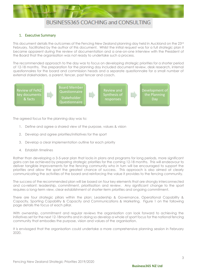

### <span id="page-2-0"></span>1. Executive Summary

This document details the outcomes of the Fencing New Zealand planning day held in Auckland on the 23rd February, facilitated by the author of this document. Whilst the initial request was for a full strategic plan it became apparent during the review of documentation and a one-on-one interview with the President of the Board that the organisation was not ready to undertake such a process.

The recommended approach to the day was to focus on developing strategic priorities for a shorter period of 12-18 months. The preparation for the planning day included document review, desk research, internal questionnaires for the board and commission heads and a separate questionnaire for a small number of external stakeholders, a parent, fencer, past fencer and coach.



The agreed focus for the planning day was to:

- 1. Define and agree a shared view of the purpose, values & vision
- 2. Develop and agree priorities/initiatives for the sport
- 3. Develop a clear implementation outline for each priority
- 4. Establish timelines

Rather than developing a 3-5-year plan that locks in plans and programs for long periods, more significant gains can be achieved by preparing strategic priorities for the coming 12-18 months. This will endeavour to deliver tangible improvements for the fencing community who in turn will be encouraged to support the priorities and allow the sport the greatest chance of success. This approach is also aimed at clearly communicating the activities of the board and reinforcing the value it provides to the fencing community.

The success of the recommended plan will be based on four key elements that are strongly interconnected and co-reliant: leadership, commitment, prioritisation and review. Any significant change to the sport requires a long-term view, clear establishment of shorter-term priorities and ongoing commitment.

There are four strategic pillars within the plan; Leadership & Governance, Operational Capability & Capacity, Sporting Capability & Capacity and Communications & Marketing. Figure 1 on the following page details the focus of each pillar.

With ownership, commitment and regular reviews the organisation can look forward to achieving the initiatives set for the next 12-18months and in doing so develop a whole of sport focus for the national fencing community that embodies the purpose, vision and values of the organisation.

It is envisaged that the organisation could undertake a more comprehensive planning session in February 2020.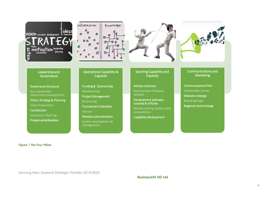



Operational Capability & Capacity

Funding & Sponsorship

Project Management

Memberships

management



Sporting Capability and **Capacity** 

Athlete retention Development Pathway athletes

Development pathway coaches & officials

Review ranking systems and competitions

Capability development

Communications and **Marketing** 

Communications Plan Stakeholder Survey Website redesign Branding/Logo Regional name change

Leadership and **Governance** 

Governance Structure Key stakeholder relationship development Vision, Strategy & Planning Value Proposition **Constitution** Succession Planning **Project prioritisation**

Resourcing Tournament Calendars Venues Wesbite administration System development &

*Figure 1 The Four Pillars*

Fencing New Zealand Strategic Priorities 2019/2020

**Business365 NZ Ltd**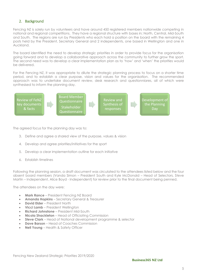## <span id="page-4-0"></span>2. Background

Fencing NZ is solely run by volunteers and have around 450 registered members nationwide competing in national and regional competitions. They have a regional structure with bases in; North, Central, Mid-South and South. The regions are run by Presidents who each hold a position on the board with the remaining 4 posts held by the President, Secretary General and 2 independents, one based in Wellington and one in Auckland.

The board identified the need to develop strategic priorities in order to provide focus for the organisation going forward and to develop a collaborative approach across the community to further grow the sport. The second need was to develop a clear implementation plan as to 'how' and 'when' the priorities would be delivered.

For the Fencing NZ, it was appropriate to dilute the strategic planning process to focus on a shorter time period, and to establish a clear purpose, vision and values for the organisation. The recommended approach was to undertake document review, desk research and questionniares, all of which were synthesised to inform the planning day.



The agreed focus for the planning day was to:

- 3. Define and agree a shared view of the purpose, values & vision
- 4. Develop and agree priorities/initiatives for the sport
- 5. Develop a clear implementation outline for each initiative
- 6. Establish timelines

Following the planning session, a draft document was circulated to the attendees listed below and the four absent board members (Vanda Simon – President South and Kyle McDonald – Head of Selectors, Steve Martin – Independent, Alice Boyd - Independent) for review prior to the final document being penned.

The attendees on the day were:

- **Mark Rance** President Fencing NZ Board
- **Amanda Hopkins** Secretary General & Treasurer
- **David Elder** President North
- **Vicci Lamb** President Wellington
- **Richard Johnstone** President Mid-South
- **Nicola Shackleton** Head of Officiating Commission
- **Steve Clark** Head of National development programme & selector
- **Dave Barson** Head of Coaches Commission
- **Neil Young** Health & Safety Officer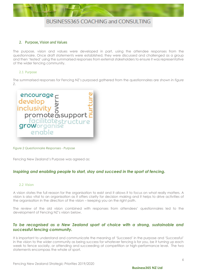

### <span id="page-5-0"></span>2. Purpose, Vision and Values

The purpose, vision and values were developed in part, using the attendee responses from the questionnaire. Once draft statements were established, they were discussed and challenged as a group and then 'tested' using the summarised responses from external stakeholders to ensure it was representative of the wider fencing community.

#### <span id="page-5-1"></span>2.1 Purpose

The summarised responses for Fencing NZ's purposed gathered from the questionnaires are shown in *figure 2*.



*Figure 2 Questionnaire Responses - Purpose*

Fencing New Zealand's Purpose was agreed as:

## *Inspiring and enabling people to start, stay and succeed in the sport of fencing.*

#### <span id="page-5-2"></span>2.2 Vision

A vision states the full reason for the organisation to exist and it allows it to focus on what really matters. A vision is also vital to an organisation as it offers clarity for decision making and it helps to drive activities of the organisation in the direction of the vision – keeping you on the right path.

The review of the old vision combined with responses from attendees' questionnaires led to the development of Fencing NZ's vision below.

## *To be recognised as a New Zealand sport of choice with a strong, sustainable and successful fencing community.*

It is important to understand and communicate the meaning of 'Succeed' in the purpose and 'Successful' in the vision to the wider community as being success for whatever fencing is for you, be it turning up each week to fence socially, or attending and succeeding at competition or high-performance level. The two statements encompass the whole of sport.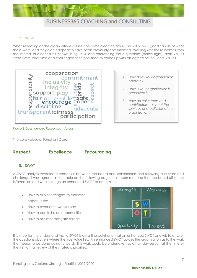

### <span id="page-6-0"></span>2.3 Values

When reflecting on the organisations values it became clear the group did not have a good handle of what these were, and they didn't appear to have been previously documented. Working with the responses from the internal questionnaires, shown in figure 3, and referencing the 3 questions (below right), draft values were listed, discussed and challenged then prioritised to come up with an agreed set of 3 core values.



- *1. How does your organisation operate?*
- *2. How is your organisation is perceived?*
- *3. How do volunteers and contributors carry out the services and activities of the organisation?*

*Figure 3 Questionnaire Responses - Values*

The core values of Fencing NZ are:

## **Respect Excellence Encouraging**

## <span id="page-6-1"></span>3. SWOT

A SWOT analysis revealed a consensus between the board and stakeholders and following discussion and challenge it was agreed as the table on the following page. It is recommended that the board utilise the information and work through an enhanced SWOT to determine:

- How to exploit strengths to maximise opportunities
- How to overcome weaknesses
- How to capitalise on opportunities
- How to minimise/mitigate threats



It is important to understand that a SWOT is a starting point and that an enhanced SWOT analysis to answer the questions above is where the true value lies. An enhanced SWOT guides the organisation as to the work that needs to be done going forward. This work could be undertaken as a half-day session at the time of the first formal review of the strategic priorities.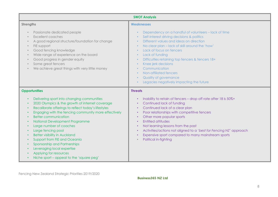| <b>SWOT Analysis</b>                                                                                                                                                                                                                                                                                                                                                                                                                                                                                                                                    |                                                                                                                                                                                                                                                                                                                                                                                                                                           |  |  |
|---------------------------------------------------------------------------------------------------------------------------------------------------------------------------------------------------------------------------------------------------------------------------------------------------------------------------------------------------------------------------------------------------------------------------------------------------------------------------------------------------------------------------------------------------------|-------------------------------------------------------------------------------------------------------------------------------------------------------------------------------------------------------------------------------------------------------------------------------------------------------------------------------------------------------------------------------------------------------------------------------------------|--|--|
| <b>Strengths</b>                                                                                                                                                                                                                                                                                                                                                                                                                                                                                                                                        | <b>Weaknesses</b>                                                                                                                                                                                                                                                                                                                                                                                                                         |  |  |
| Passionate dedicated people<br><b>Excellent coaches</b><br>A good regional structure/foundation for change<br>FIE support<br>Good fencing knowledge<br>Wide range of experience on the board<br>$\bullet$<br>Good progress in gender equity<br>Some great fencers<br>We achieve great things with very little money                                                                                                                                                                                                                                     | Dependency on a handful of volunteers - lack of time<br>Self-interest driving decisions & politics<br>Different values and ideas on direction<br>No clear plan - lack of skill around the 'how'<br>Lack of focus on fencers<br>Lack of funding<br>Difficulties retaining top fencers & fencers 18+<br>Knee jerk decisions<br>Communication<br>Non-affiliated fencers<br>Quality of governance<br>Legacies negatively impacting the future |  |  |
| <b>Opportunities</b>                                                                                                                                                                                                                                                                                                                                                                                                                                                                                                                                    | <b>Threats</b>                                                                                                                                                                                                                                                                                                                                                                                                                            |  |  |
| Delivering sport into changing communities<br>2020 Olympics & the growth of internet coverage<br>Recalibrate offerings to reflect today's lifestyles<br>Engaging with the fencing community more effectively<br><b>Better communication</b><br>National Development Programme<br>Large number of coaches<br>Large fencing pool<br><b>Better visibility in Auckland</b><br>$\bullet$<br>Support from FIE and Oceania<br>Sponsorship and Partnerships<br>Leveraging local expertise<br>Applying for resources<br>Niche sport - appeal to the 'square peg' | Inability to retain of fencers - drop off rate after 18 is 50%+<br>Continued lack of funding<br>Continued lack of a clear plan<br>Poor relationships with competitive fencers<br>Other more popular sports<br>Entitled attitudes<br>Not learning lessons from the past<br>Activities/actions not aligned to a 'best for Fencing NZ' approach<br>Expensive sport compared to many mainstream sports<br>Political in-fighting               |  |  |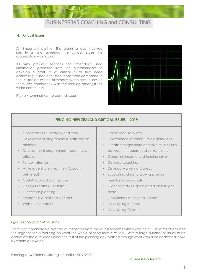

### <span id="page-8-0"></span>4. Critical Issues

An important part of the planning day involved identifying and agreeing the critical issues the organisation was facing.

As with previous sections the attendees used information gathered from the questionnaires to develop a draft list of critical issues that need addressing. Once discussed these were compared to the list tabled by the external stakeholders to ensure there was consistency with the thinking amongst the wider community.

Figure 4 summarises the agreed issues.



## **FENCING NEW ZEALAND CRITICAL ISSUES – 2019**

- Coherent vision, strategy and plan
- Development programme & pathway for athletes
- Development programmes coaches & officials
- **Fencer retention**
- Athlete centric environment (coach delivered)
- Cost & availability of venues
- Communication all forms
- Succession planning
- Awareness & profile in NZ Sport
- Website is dreadful
- Operational resource
- Governance structure roles, definitions
- Create stronger more cohesive relationship between the board and stakeholders
- Operating income and funding drive
- Develop coaching
- Develop Marketing strategy
- Supporting clubs to grow and retain members - reciprocity
- Clear objectives, goals and a plan to get there
- Consistency at national comps
- Developing referees
- Developing Clubs

#### *Figure 4 Fencing NZ Critical Issues*

There was considerable overlap of responses from the questionnaires which was helpful in terms of ensuring the organisation is focusing on what the whole of sport feels is critical. With a large number of issues to be addressed the attendees spent the rest of the planning day working through what would be addressed, how, by whom and when.

Fencing New Zealand Strategic Priorities 2019/2020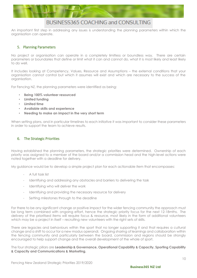

An important first step in addressing any issues is understanding the planning parameters within which the organisation can operate.

## <span id="page-9-0"></span>5. Planning Parameters

No project or organisation can operate in a completely limitless or boundless way. There are certain parameters or boundaries that define or limit what it can and cannot do, what it is most likely and least likely to do well.

It includes looking at Competency, Values, Resource and Assumptions – the external conditions that your organisation cannot control but which it assumes will exist and which are necessary to the success of the organisation.

For Fencing NZ, the planning parameters were identified as being:

- **Being 100% volunteer resourced**
- **Limited funding**
- **Limited time**
- **Available skills and experience**
- **Needing to make an impact in the very short term**

When setting plans, and in particular timelines to each initiative it was important to consider these parameters in order to support the team to achieve results.

### <span id="page-9-1"></span>6. The Strategic Priorities

Having established the planning parameters, the strategic priorities were determined. Ownership of each priority was assigned to a member of the board and/or a commission head and the high-level actions were noted together with a deadline for delivery.

My guidance would be to develop a simple project plan for each actionable item that encompasses:

- A full task list
- Identifying and addressing any obstacles and barriers to delivering the task
- Identifying who will deliver the work
- Identifying and providing the necessary resource for delivery
- Setting milestones through to the deadline

For there to be any significant change or positive impact for the wider fencing community the approach must be long term combined with ongoing effort, hence the strategic priority focus for the next 12-18mths. The delivery of the prioritised items will require focus & resource, most likely in the form of additional volunteers which may be a project in itself – recruiting new volunteers with the right sets of skills.

There are legacies and behaviours within the sport that no longer supporting it and that requires a cultural change and a shift to occur for a new modus operandi. Ongoing sharing of learnings and collaboration within the fencing community and particularly between the board, commission and regions should be strongly encouraged to help support change and the overall development of the whole of sport.

The four strategic pillars are **Leadership & Governance, Operational Capability & Capacity, Sporting Capability & Capacity and Communications & Marketing.**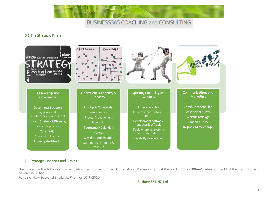

## 6.1 The Strategic Pillars



## <span id="page-10-0"></span>7. Strategic Priorities and Timing

The tables on the following pages detail the priorities of the above pillars. Please note that the final column '**When'**, refers to the 1st of the month unless otherwise noted.

<span id="page-10-1"></span>Fencing New Zealand Strategic Priorities 2019/2020

#### **Business365 NZ Ltd**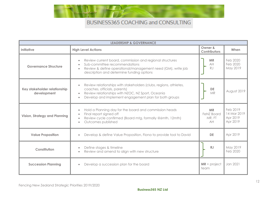

| <b>LEADERSHIP &amp; GOVERNANCE</b>          |                                                                                                                                                                                                                                           |                                                |                                                 |
|---------------------------------------------|-------------------------------------------------------------------------------------------------------------------------------------------------------------------------------------------------------------------------------------------|------------------------------------------------|-------------------------------------------------|
| Initiative                                  | <b>High Level Actions</b>                                                                                                                                                                                                                 | Owner &<br><b>Contributors</b>                 | When                                            |
| <b>Governance Structure</b>                 | Review current board, commission and regional structures<br>Sub-committee recommendations<br>$\bullet$<br>Review & define operational/management need (GM), write job<br>$\bullet$<br>description and determine funding options           | <b>MR</b><br>AH<br><b>RJ</b>                   | Feb 2020<br>Feb 2020<br>May 2019                |
| Key stakeholder relationship<br>development | Review relationships with stakeholders (clubs, regions, athletes,<br>coaches, officials, parents)<br>Review relationships with NZOC, NZ Sport, Oceania<br>$\bullet$<br>Develop and implement engagement plan for both groups<br>$\bullet$ | <b>DE</b><br>MR                                | August 2019                                     |
| <b>Vision, Strategy and Planning</b>        | Hold a Planning day for the board and commission heads<br>$\bullet$<br>Final report signed off<br>Review cycle confirmed (Board mtg, formally @6mth, 12mth)<br>$\bullet$<br>Outcomes published<br>$\bullet$                               | <b>MR</b><br><b>FeNZ Board</b><br>MR, FT<br>AH | Feb 2019<br>14 Mar 2019<br>Apr 2019<br>Apr 2019 |
| <b>Value Proposition</b>                    | Develop & define Value Proposition, Fiona to provide tool to David                                                                                                                                                                        | DE                                             | Apr 2019                                        |
| Constitution                                | Define stages & timeline<br>$\bullet$<br>Review and amend to align with new structure<br>$\bullet$                                                                                                                                        | RJ                                             | May 2019<br>Feb 2020                            |
| <b>Succession Planning</b>                  | Develop a succession plan for the board                                                                                                                                                                                                   | $MR + project$<br>team                         | Jan 2021                                        |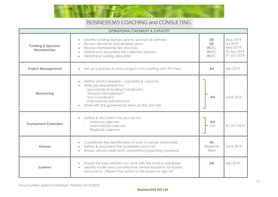

| <b>OPERATIONAL CAPABILITY &amp; CAPACITY</b> |                                                                                                                                                                                                                                                                   |                                                   |                                                                       |
|----------------------------------------------|-------------------------------------------------------------------------------------------------------------------------------------------------------------------------------------------------------------------------------------------------------------------|---------------------------------------------------|-----------------------------------------------------------------------|
| <b>Funding &amp; Sponsors</b><br>Memberships | Identify funding sources, grants, sponsors & partners<br>$\bullet$<br>Review above list and develop plans<br>$\bullet$<br>Review Membership fee structure<br>$\bullet$<br>Define and document the collection process<br>$\bullet$<br>Determine funding allocation | <b>DE</b><br><b>DE</b><br>VL/SC<br>VL/SC<br>VL/SC | May 2019<br><b>Jul 2019</b><br>May 2019<br>31 Apr 2019<br>31 Oct 2019 |
| <b>Project Management</b>                    | Set up a process to track project costs (starting with 23rd Feb)<br>$\bullet$                                                                                                                                                                                     | AH                                                | Apr 2019                                                              |
| <b>Resourcing</b>                            | Define what is needed - capability & capacity<br>Write job descriptions for:<br>- Sponsorship & funding Coordinator<br>- Treasury management<br>- Tour Coordinator<br>- International Administrator<br>Work with the governance team on the GM role               | AH                                                | June 2019                                                             |
| <b>Tournament Calendars</b>                  | Define & document the process for:<br>National calendar<br>International calendar<br>Regional calendar                                                                                                                                                            | AH<br>KM                                          | 31 Oct 2019                                                           |
| <b>Venues</b>                                | Coordinate the identification of a list of venues (nationally)<br>Define & document the availability and cost<br>$\bullet$<br>Ensure venues meet FeNZ competition/operating standards<br>$\bullet$                                                                | <b>NS</b><br>Regional<br>Reps                     | June 2019                                                             |
| <b>Systems</b>                               | Ensure the new website can work with the ranking database<br>Identify a safe and cost-effective central repository for board<br>$\bullet$<br>documents. Present the option to the board for sign off                                                              | <b>SM</b>                                         | Apr 2019                                                              |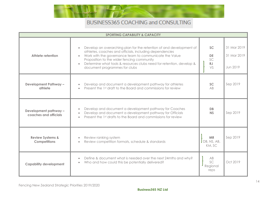

| <b>SPORTING CAPABILITY &amp; CAPACITY</b>          |                                                                                                                                                                                                                                                                                                                                                              |                                          |                                        |
|----------------------------------------------------|--------------------------------------------------------------------------------------------------------------------------------------------------------------------------------------------------------------------------------------------------------------------------------------------------------------------------------------------------------------|------------------------------------------|----------------------------------------|
| Athlete retention                                  | Develop an overarching plan for the retention of and development of<br>athletes, coaches and officials, including dependencies<br>Work with the governance team to communicate the Value<br>Proposition to the wider fencing community<br>Determine what tools & resources clubs need for retention, develop &<br>$\bullet$<br>document programmes for clubs | <b>SC</b><br><b>DE</b><br>SC<br>RJ<br>VS | 31 Mar 2019<br>31 Mar 2019<br>Jun 2019 |
| <b>Development Pathway -</b><br>athlete            | Develop and document a development pathway for athletes<br>Present the 1st draft to the Board and commissions for review                                                                                                                                                                                                                                     | <b>SC</b><br>AB                          | Sep 2019                               |
| Development pathway -<br>coaches and officials     | Develop and document a development pathway for Coaches<br>Develop and document a development pathway for Officials<br>$\bullet$<br>Present the 1st drafts to the Board and commissions for review                                                                                                                                                            | <b>DB</b><br><b>NS</b>                   | Sep 2019                               |
| <b>Review Systems &amp;</b><br><b>Competitions</b> | Review ranking system<br>Review competition formats, schedule & standards                                                                                                                                                                                                                                                                                    | <b>MR</b><br>JB, NS, AB,<br>KM, SC       | Sep 2019                               |
| <b>Capability development</b>                      | Define & document what is needed over the next 24mths and why?<br>Who and how could this be potentially delivered?                                                                                                                                                                                                                                           | AB<br>SC<br>Regional<br>reps             | Oct 2019                               |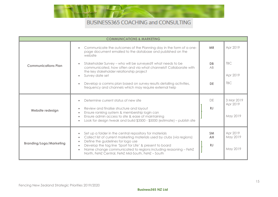

| <b>COMMUNICATIONS &amp; MARKETING</b> |                                                                                                                                                                                                                                                                                                                                                                                                                              |                       |                                    |
|---------------------------------------|------------------------------------------------------------------------------------------------------------------------------------------------------------------------------------------------------------------------------------------------------------------------------------------------------------------------------------------------------------------------------------------------------------------------------|-----------------------|------------------------------------|
|                                       | Communicate the outcomes of the Planning day in the form of a one-<br>$\bullet$<br>page document emailed to the database and published on the<br>website                                                                                                                                                                                                                                                                     | <b>MR</b>             | Apr 2019                           |
| <b>Communications Plan</b>            | Stakeholder Survey - who will be surveyed? what needs to be<br>$\bullet$<br>communicated, how often and via what channels? Collaborate with<br>the key stakeholder relationship project<br>Survey date set<br>$\bullet$                                                                                                                                                                                                      | DB<br>AB              | <b>TBC</b><br>Apr 2019             |
|                                       | Develop a comms plan based on survey results detailing activities,<br>$\bullet$<br>frequency and channels which may require external help                                                                                                                                                                                                                                                                                    | DE                    | <b>TBC</b>                         |
| Website redesign                      | Determine current status of new site<br>$\bullet$<br>Review and finalise structure and layout<br>$\bullet$<br>Ensure ranking system & membership login can<br>$\bullet$<br>Ensure admin access to site & ease of maintaining<br>$\bullet$<br>Look for design tweak and build \$3500 - \$5000 (estimate) – publish site<br>$\bullet$                                                                                          | DE<br>RJ              | 3 Mar 2019<br>Apr 2019<br>May 2019 |
| <b>Branding/Logo/Marketing</b>        | Set up a folder in the central repository for materials<br>$\bullet$<br>Collect list of current marketing materials used by clubs (via regions)<br>$\bullet$<br>Define the guidelines for logo use<br>$\bullet$<br>Develop the tag line 'Sport for Life' & present to board<br>$\bullet$<br>Name change communicated to regions including reasoning - FeNZ<br>$\bullet$<br>North, FeNZ Central, FeNZ Mid-South, FeNZ - South | <b>SM</b><br>AH<br>RJ | Apr 2019<br>May 2019<br>May 2019   |